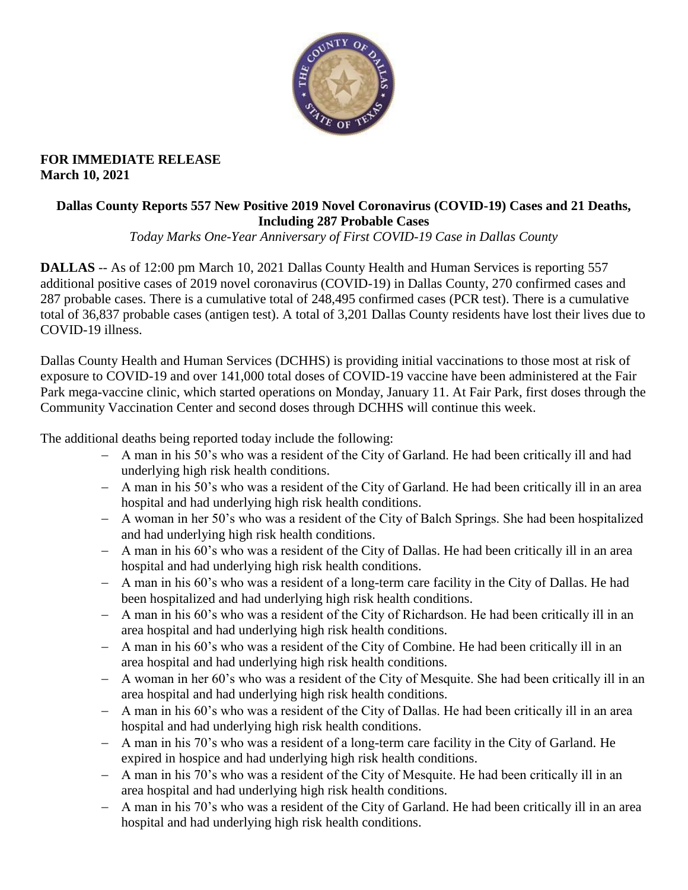

#### **FOR IMMEDIATE RELEASE March 10, 2021**

### **Dallas County Reports 557 New Positive 2019 Novel Coronavirus (COVID-19) Cases and 21 Deaths, Including 287 Probable Cases**

*Today Marks One-Year Anniversary of First COVID-19 Case in Dallas County*

**DALLAS** -- As of 12:00 pm March 10, 2021 Dallas County Health and Human Services is reporting 557 additional positive cases of 2019 novel coronavirus (COVID-19) in Dallas County, 270 confirmed cases and 287 probable cases. There is a cumulative total of 248,495 confirmed cases (PCR test). There is a cumulative total of 36,837 probable cases (antigen test). A total of 3,201 Dallas County residents have lost their lives due to COVID-19 illness.

Dallas County Health and Human Services (DCHHS) is providing initial vaccinations to those most at risk of exposure to COVID-19 and over 141,000 total doses of COVID-19 vaccine have been administered at the Fair Park mega-vaccine clinic, which started operations on Monday, January 11. At Fair Park, first doses through the Community Vaccination Center and second doses through DCHHS will continue this week.

The additional deaths being reported today include the following:

- A man in his 50's who was a resident of the City of Garland. He had been critically ill and had underlying high risk health conditions.
- A man in his 50's who was a resident of the City of Garland. He had been critically ill in an area hospital and had underlying high risk health conditions.
- A woman in her 50's who was a resident of the City of Balch Springs. She had been hospitalized and had underlying high risk health conditions.
- A man in his 60's who was a resident of the City of Dallas. He had been critically ill in an area hospital and had underlying high risk health conditions.
- A man in his 60's who was a resident of a long-term care facility in the City of Dallas. He had been hospitalized and had underlying high risk health conditions.
- A man in his 60's who was a resident of the City of Richardson. He had been critically ill in an area hospital and had underlying high risk health conditions.
- A man in his 60's who was a resident of the City of Combine. He had been critically ill in an area hospital and had underlying high risk health conditions.
- A woman in her 60's who was a resident of the City of Mesquite. She had been critically ill in an area hospital and had underlying high risk health conditions.
- A man in his 60's who was a resident of the City of Dallas. He had been critically ill in an area hospital and had underlying high risk health conditions.
- A man in his 70's who was a resident of a long-term care facility in the City of Garland. He expired in hospice and had underlying high risk health conditions.
- A man in his 70's who was a resident of the City of Mesquite. He had been critically ill in an area hospital and had underlying high risk health conditions.
- A man in his 70's who was a resident of the City of Garland. He had been critically ill in an area hospital and had underlying high risk health conditions.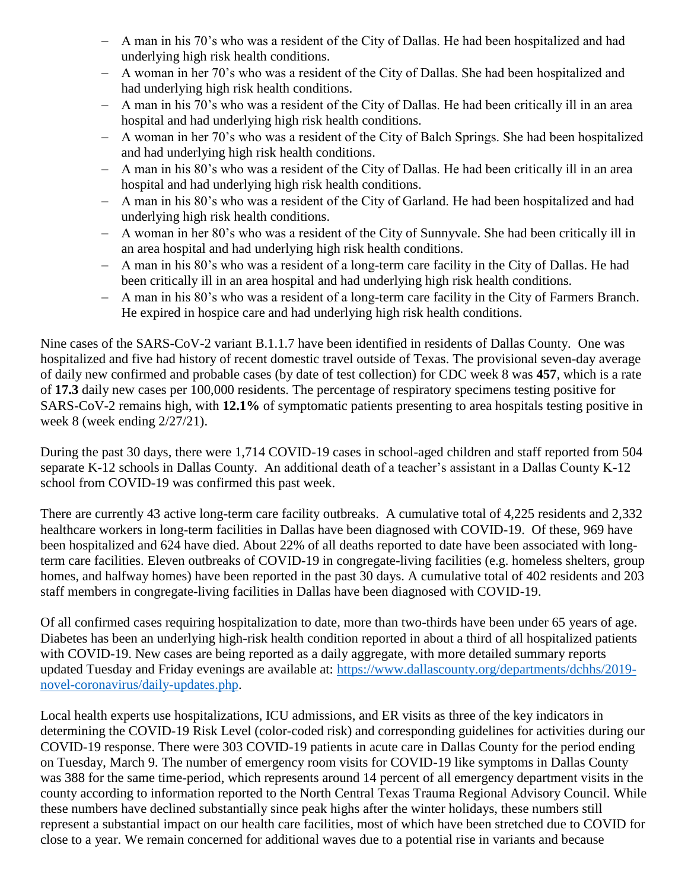- A man in his 70's who was a resident of the City of Dallas. He had been hospitalized and had underlying high risk health conditions.
- A woman in her 70's who was a resident of the City of Dallas. She had been hospitalized and had underlying high risk health conditions.
- A man in his 70's who was a resident of the City of Dallas. He had been critically ill in an area hospital and had underlying high risk health conditions.
- A woman in her 70's who was a resident of the City of Balch Springs. She had been hospitalized and had underlying high risk health conditions.
- A man in his 80's who was a resident of the City of Dallas. He had been critically ill in an area hospital and had underlying high risk health conditions.
- A man in his 80's who was a resident of the City of Garland. He had been hospitalized and had underlying high risk health conditions.
- A woman in her 80's who was a resident of the City of Sunnyvale. She had been critically ill in an area hospital and had underlying high risk health conditions.
- A man in his 80's who was a resident of a long-term care facility in the City of Dallas. He had been critically ill in an area hospital and had underlying high risk health conditions.
- A man in his 80's who was a resident of a long-term care facility in the City of Farmers Branch. He expired in hospice care and had underlying high risk health conditions.

Nine cases of the SARS-CoV-2 variant B.1.1.7 have been identified in residents of Dallas County. One was hospitalized and five had history of recent domestic travel outside of Texas. The provisional seven-day average of daily new confirmed and probable cases (by date of test collection) for CDC week 8 was **457**, which is a rate of **17.3** daily new cases per 100,000 residents. The percentage of respiratory specimens testing positive for SARS-CoV-2 remains high, with **12.1%** of symptomatic patients presenting to area hospitals testing positive in week 8 (week ending 2/27/21).

During the past 30 days, there were 1,714 COVID-19 cases in school-aged children and staff reported from 504 separate K-12 schools in Dallas County. An additional death of a teacher's assistant in a Dallas County K-12 school from COVID-19 was confirmed this past week.

There are currently 43 active long-term care facility outbreaks. A cumulative total of 4,225 residents and 2,332 healthcare workers in long-term facilities in Dallas have been diagnosed with COVID-19. Of these, 969 have been hospitalized and 624 have died. About 22% of all deaths reported to date have been associated with longterm care facilities. Eleven outbreaks of COVID-19 in congregate-living facilities (e.g. homeless shelters, group homes, and halfway homes) have been reported in the past 30 days. A cumulative total of 402 residents and 203 staff members in congregate-living facilities in Dallas have been diagnosed with COVID-19.

Of all confirmed cases requiring hospitalization to date, more than two-thirds have been under 65 years of age. Diabetes has been an underlying high-risk health condition reported in about a third of all hospitalized patients with COVID-19. New cases are being reported as a daily aggregate, with more detailed summary reports updated Tuesday and Friday evenings are available at: [https://www.dallascounty.org/departments/dchhs/2019](https://www.dallascounty.org/departments/dchhs/2019-novel-coronavirus/daily-updates.php) [novel-coronavirus/daily-updates.php.](https://www.dallascounty.org/departments/dchhs/2019-novel-coronavirus/daily-updates.php)

Local health experts use hospitalizations, ICU admissions, and ER visits as three of the key indicators in determining the COVID-19 Risk Level (color-coded risk) and corresponding guidelines for activities during our COVID-19 response. There were 303 COVID-19 patients in acute care in Dallas County for the period ending on Tuesday, March 9. The number of emergency room visits for COVID-19 like symptoms in Dallas County was 388 for the same time-period, which represents around 14 percent of all emergency department visits in the county according to information reported to the North Central Texas Trauma Regional Advisory Council. While these numbers have declined substantially since peak highs after the winter holidays, these numbers still represent a substantial impact on our health care facilities, most of which have been stretched due to COVID for close to a year. We remain concerned for additional waves due to a potential rise in variants and because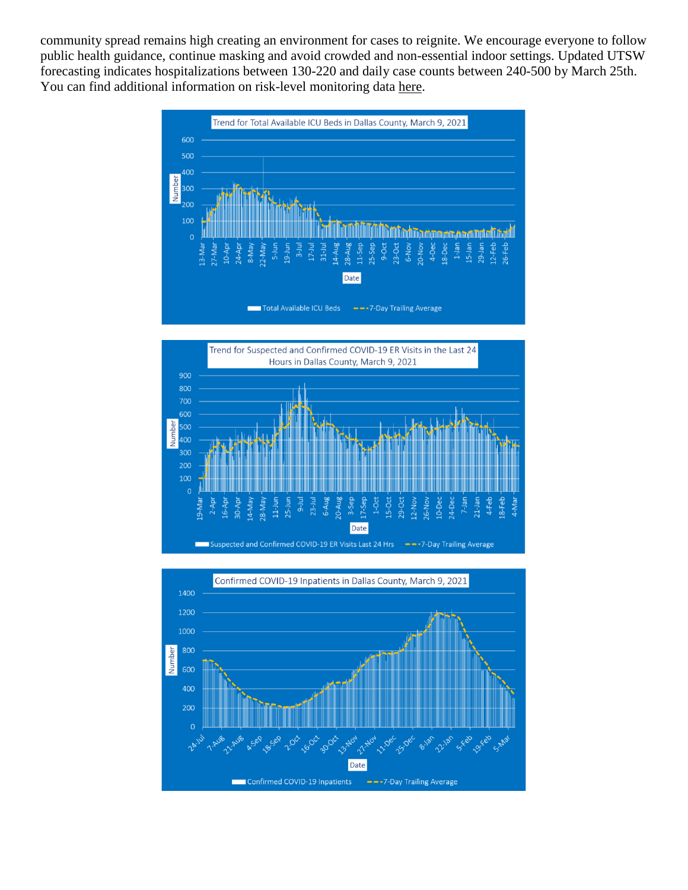community spread remains high creating an environment for cases to reignite. We encourage everyone to follow public health guidance, continue masking and avoid crowded and non-essential indoor settings. Updated UTSW forecasting indicates hospitalizations between 130-220 and daily case counts between 240-500 by March 25th. You can find additional information on risk-level monitoring data [here.](https://www.dallascounty.org/Assets/uploads/docs/hhs/2019-nCoV/C-19-risklevelmgmt/030921-DallasCounty-COVID-19-Hospitalization-Data.pdf)





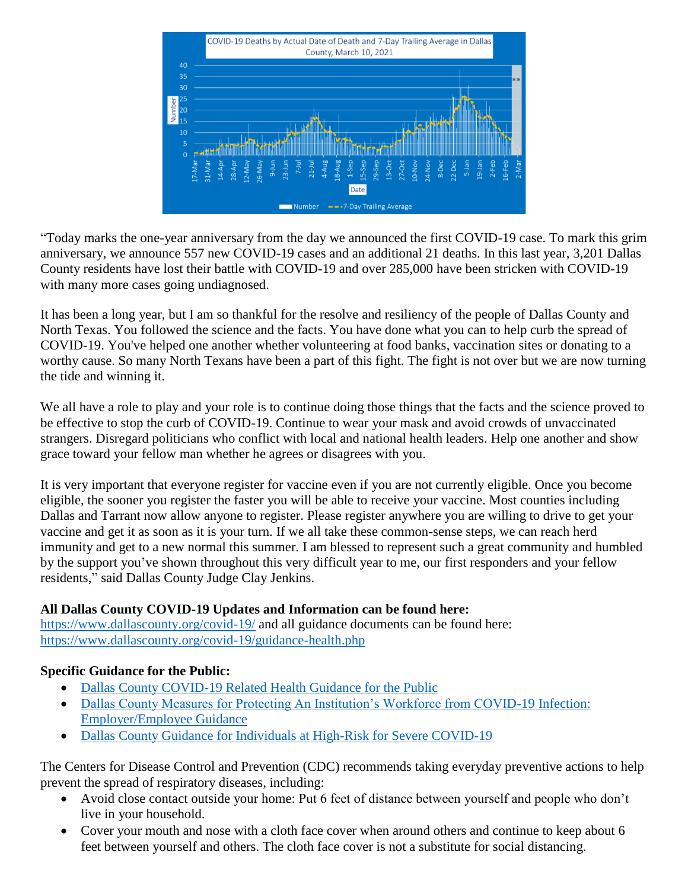

"Today marks the one-year anniversary from the day we announced the first COVID-19 case. To mark this grim anniversary, we announce 557 new COVID-19 cases and an additional 21 deaths. In this last year, 3,201 Dallas County residents have lost their battle with COVID-19 and over 285,000 have been stricken with COVID-19 with many more cases going undiagnosed.

It has been a long year, but I am so thankful for the resolve and resiliency of the people of Dallas County and North Texas. You followed the science and the facts. You have done what you can to help curb the spread of COVID-19. You've helped one another whether volunteering at food banks, vaccination sites or donating to a worthy cause. So many North Texans have been a part of this fight. The fight is not over but we are now turning the tide and winning it.

We all have a role to play and your role is to continue doing those things that the facts and the science proved to be effective to stop the curb of COVID-19. Continue to wear your mask and avoid crowds of unvaccinated strangers. Disregard politicians who conflict with local and national health leaders. Help one another and show grace toward your fellow man whether he agrees or disagrees with you.

It is very important that everyone register for vaccine even if you are not currently eligible. Once you become eligible, the sooner you register the faster you will be able to receive your vaccine. Most counties including Dallas and Tarrant now allow anyone to register. Please register anywhere you are willing to drive to get your vaccine and get it as soon as it is your turn. If we all take these common-sense steps, we can reach herd immunity and get to a new normal this summer. I am blessed to represent such a great community and humbled by the support you've shown throughout this very difficult year to me, our first responders and your fellow residents," said Dallas County Judge Clay Jenkins.

# **All Dallas County COVID-19 Updates and Information can be found here:**

<https://www.dallascounty.org/covid-19/> and all guidance documents can be found here: <https://www.dallascounty.org/covid-19/guidance-health.php>

# **Specific Guidance for the Public:**

- [Dallas County COVID-19 Related Health Guidance for the Public](https://www.dallascounty.org/Assets/uploads/docs/covid-19/community/Dallas-CovidGeneralGuidelines-060620.pdf)
- [Dallas County Measures for Protecting An Institution's Workforce from COVID-19 Infection:](https://www.dallascounty.org/Assets/uploads/docs/covid-19/community/Dallas_Covid_Employer_Guidance_FINAL.pdf)  [Employer/Employee Guidance](https://www.dallascounty.org/Assets/uploads/docs/covid-19/community/Dallas_Covid_Employer_Guidance_FINAL.pdf)
- [Dallas County Guidance for Individuals at High-Risk for Severe COVID-19](https://www.dallascounty.org/Assets/uploads/docs/covid-19/community/Dallas_HighRiskGuidelines.pdf)

The Centers for Disease Control and Prevention (CDC) recommends taking everyday preventive actions to help prevent the spread of respiratory diseases, including:

- Avoid close contact outside your home: Put 6 feet of distance between yourself and people who don't live in your household.
- Cover your mouth and nose with a cloth face cover when around others and continue to keep about 6 feet between yourself and others. The cloth face cover is not a substitute for social distancing.